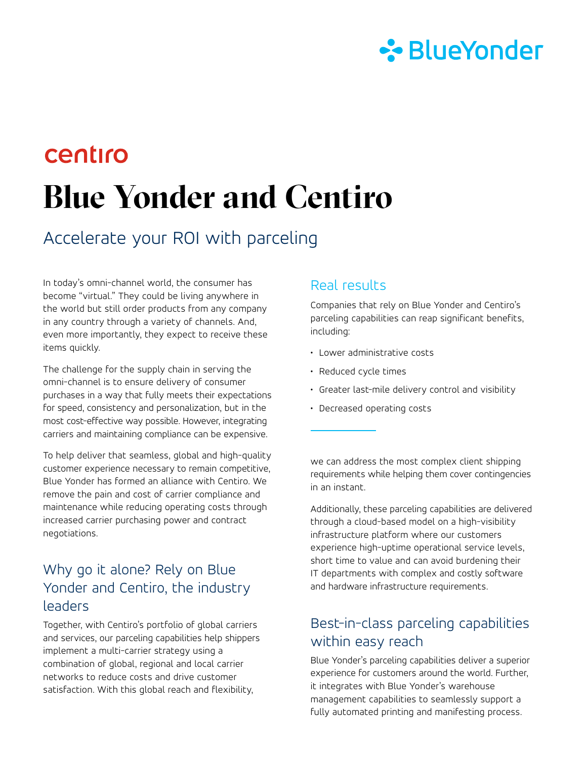

# centiro **Blue Yonder and Centiro**

## Accelerate your ROI with parceling

In today's omni-channel world, the consumer has become "virtual." They could be living anywhere in the world but still order products from any company in any country through a variety of channels. And, even more importantly, they expect to receive these items quickly.

The challenge for the supply chain in serving the omni-channel is to ensure delivery of consumer purchases in a way that fully meets their expectations for speed, consistency and personalization, but in the most cost-effective way possible. However, integrating carriers and maintaining compliance can be expensive.

To help deliver that seamless, global and high-quality customer experience necessary to remain competitive, Blue Yonder has formed an alliance with Centiro. We remove the pain and cost of carrier compliance and maintenance while reducing operating costs through increased carrier purchasing power and contract negotiations.

#### Why go it alone? Rely on Blue Yonder and Centiro, the industry leaders

Together, with Centiro's portfolio of global carriers and services, our parceling capabilities help shippers implement a multi-carrier strategy using a combination of global, regional and local carrier networks to reduce costs and drive customer satisfaction. With this global reach and flexibility,

#### Real results

Companies that rely on Blue Yonder and Centiro's parceling capabilities can reap significant benefits, including:

- Lower administrative costs
- Reduced cycle times
- Greater last-mile delivery control and visibility
- Decreased operating costs

we can address the most complex client shipping requirements while helping them cover contingencies in an instant.

Additionally, these parceling capabilities are delivered through a cloud-based model on a high-visibility infrastructure platform where our customers experience high-uptime operational service levels, short time to value and can avoid burdening their IT departments with complex and costly software and hardware infrastructure requirements.

### Best-in-class parceling capabilities within easy reach

Blue Yonder's parceling capabilities deliver a superior experience for customers around the world. Further, it integrates with Blue Yonder's warehouse management capabilities to seamlessly support a fully automated printing and manifesting process.